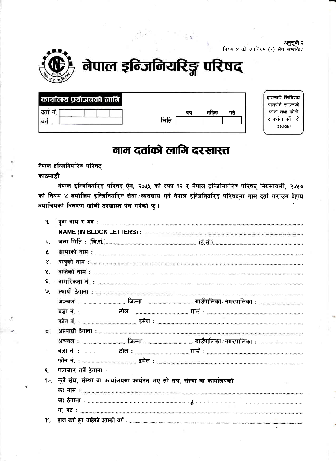अनुसूची-२ नियम ४ को उपनियम (१) सँग सम्बन्धित



# नेपाल इन्जिनियरिङ्ग परिषद्

| कार्यालय प्रयोजनको लागि |      |    |      |    | हालसालै खिचिएको<br>पासपोर्ट साइजको |
|-------------------------|------|----|------|----|------------------------------------|
| दता                     |      | ਰਾ | माहन | गत | फोटो तथा फोटो                      |
| वग                      | मिति |    |      |    | र फर्ममा पर्ने गरी<br>दस्तखत       |

### नाम दर्ताको लागि दरखास्त

नेपाल इन्जिनियरिङ्ग परिषद् काठमाडौं

नेपाल इन्जिनियरिङ्ग परिषद् ऐन, २०५५ को दफा १२ र नेपाल इन्जिनियरिङ्ग परिषद् नियमावली, २०५७ को नियम ४ बमोजिम इन्जिनियरिङ्ग सेवा ∕व्यवसाय गर्न नेपाल इन्जिनियरिङ्ग परिषद्मा नाम दर्ता गराउन देहाय बमोजिमको विवरण खोली दरखास्त पेश गरेको छु।

| ٩.             |                                                                        |
|----------------|------------------------------------------------------------------------|
|                |                                                                        |
| २.             |                                                                        |
| ₹.             |                                                                        |
| $\mathbf{X}$   |                                                                        |
| У.             |                                                                        |
| ٤.             |                                                                        |
| $\mathbf{S}$   |                                                                        |
|                |                                                                        |
|                |                                                                        |
|                |                                                                        |
| $\overline{a}$ |                                                                        |
|                |                                                                        |
|                |                                                                        |
|                |                                                                        |
| $\mathbf{R}$   | पत्राचार गर्ने ठेगाना :                                                |
| 90.            | कुनै संघ, संस्था वा कार्यालयमा कार्यरत भए सो संघ, संस्था वा कार्यालयको |
|                |                                                                        |
|                |                                                                        |
|                |                                                                        |
| 99.            |                                                                        |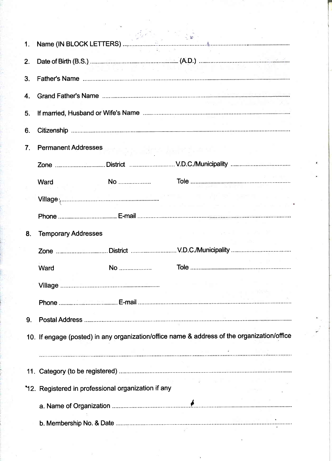| 1. |                                                                                                             |                        |                                   |  |
|----|-------------------------------------------------------------------------------------------------------------|------------------------|-----------------------------------|--|
| 2. | Date of Birth (B.S.) <b>Constitution Constitution (B.D.</b> ) <b>Constitution Constitution Constitution</b> |                        |                                   |  |
| З. |                                                                                                             |                        |                                   |  |
|    |                                                                                                             |                        |                                   |  |
| 4. |                                                                                                             |                        |                                   |  |
| 5. |                                                                                                             |                        |                                   |  |
| 6. |                                                                                                             |                        |                                   |  |
|    |                                                                                                             |                        |                                   |  |
| 7. | <b>Permanent Addresses</b>                                                                                  | [박수] . 그렇다 Ac. (1) 그 보 |                                   |  |
|    |                                                                                                             |                        |                                   |  |
|    | Ward                                                                                                        |                        |                                   |  |
|    |                                                                                                             |                        |                                   |  |
|    |                                                                                                             |                        |                                   |  |
|    |                                                                                                             |                        |                                   |  |
| 8. | <b>Temporary Addresses</b>                                                                                  |                        | and the company of the company of |  |
|    |                                                                                                             |                        |                                   |  |
|    | Ward                                                                                                        | No                     |                                   |  |
|    |                                                                                                             |                        |                                   |  |
|    |                                                                                                             |                        |                                   |  |
|    |                                                                                                             |                        |                                   |  |
| 9. |                                                                                                             |                        |                                   |  |
|    |                                                                                                             |                        |                                   |  |
|    | 10. If engage (posted) in any organization/office name & address of the organization/office                 |                        |                                   |  |
|    |                                                                                                             |                        |                                   |  |
|    |                                                                                                             |                        |                                   |  |
|    | *12. Registered in professional organization if any                                                         |                        |                                   |  |
|    |                                                                                                             |                        |                                   |  |
|    |                                                                                                             |                        |                                   |  |
|    |                                                                                                             |                        |                                   |  |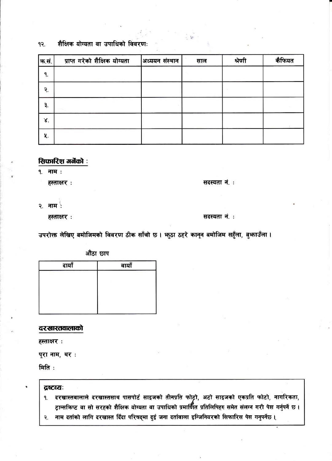#### शैक्षिक योग्यता वा उपाधिको विवरणः १२.

| ऋ.सं. | प्राप्त गरेको शैक्षिक योग्यता | अध्ययन संस्थान | साल | श्रेणी | कैंफियत |
|-------|-------------------------------|----------------|-----|--------|---------|
| ٩.    |                               |                |     |        |         |
| २.    |                               |                |     |        |         |
| ₹.    |                               |                |     |        |         |
| Χ.    |                               |                |     |        |         |
| 久.    |                               |                |     |        |         |

### सिफारिश गर्नेको :

**9.** नाम:

हस्ताक्षर:

सदस्यता नं.:

२. नाम :

हस्ताक्षर :

#### सदस्यता नं.:

उपरोक्त लेखिए बमोजिमको विवरण ठीक साँचो छ । भुठा ठहरे कानून बमोजिम सहुँला, बुभाउँला ।

औंठा छाप

| दायाँ | ت<br>वायॉ |  |  |  |
|-------|-----------|--|--|--|
|       |           |  |  |  |
|       |           |  |  |  |
|       |           |  |  |  |
|       |           |  |  |  |
|       |           |  |  |  |

#### दरखास्तवालाको

हस्ताक्षर:

पूरा नाम, थर:

मिति:

#### द्रष्टत्यः

- दरखास्तवालाले दरखास्तसाथ पासपोर्ट साइजको तीनप्रति फोट्टो, अटो साइजको एकप्रति फोटो, नागरिकता, ٩. ट्रान्सकिप्ट वा सो सरहको शैक्षिक योग्यता वा उपाधिको प्रमार्णित प्रतिलिपिहरु समेत संलग्न गरी पेश गर्नुपर्ने छ ।
- नाम दर्ताको लागि दरखास्त दिँदा परिषद्मा दुई जना दर्तावाला इन्जिनियरको सिफारिस पेस गनुपर्नेछ । २.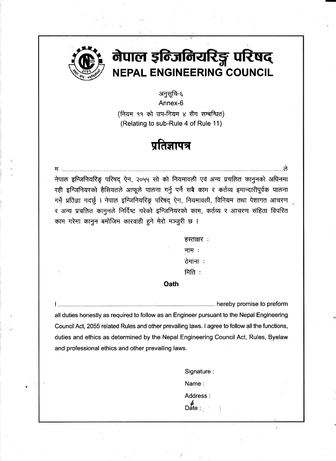

म

### नेपाल इंन्जिनियरिङ्ग परिषद् **NEPAL ENGINEERING COUNCIL**

अनुसूचि-६ Annex-6

(नियम ११ को उप-नियम ४ सँग सम्बन्धित) (Relating to sub-Rule 4 of Rule 11)

### प्रतिज्ञापत्र

नेपाल इन्जिनियरिङ्ग परिषद ऐन, २०५५ सो को नियमावली एवं अन्य प्रचलित कानुनको अधिनमा रही इन्जिनियरको हैसियतले आफूले पालना गर्नु पर्ने सबै काम र कर्तव्य इमान्दारीपूर्वक पालना गर्ने प्रतिज्ञा गदर्छु । नेपाल इन्जिनियरिङ्ग परिषद् ऐन, नियमावली, विनियम तथा पेशागत आचरण र अन्य प्रचलित कानुनले निर्दिष्ट गरेको इन्जिनियरको काम, कर्तव्य र आचरण संहिता विपरित काम गरेमा कानुन बमोजिम कारवाही हुने मेरो मञ्जुरी छ ।

> $\overline{\text{R}}$ स्ताक्षर: नाम $\cdot$ :  $\frac{1}{2}$ वेगाना  $$\overline{H}$ ि $\overline{G}$ :$

#### **Oath**

<sup>I</sup>................... .........:........... hereby promise to preform all duties honestly as required to follow as an Engineer pursuant to the Nepal Engineering CouncilAct, 2055 related Rules and other prevailing laws. I agree to follow all the functions, duties and ethics as determined by the Nepal Engineering Council Act, Rules, Byelaw and professional ethics and other prevailing laws.

> Signature : Name: Address  $\overline{\mathsf{D}}$ ate :